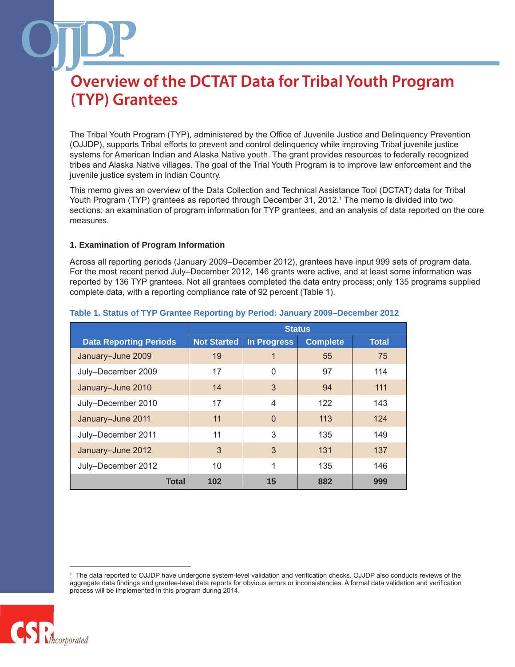The Tribal Youth Program (TYP), administered by the Office of Juvenile Justice and Delinquency Prevention (OJJDP), supports Tribal efforts to prevent and control delinquency while improving Tribal juvenile justice systems for American Indian and Alaska Native youth. The grant provides resources to federally recognized tribes and Alaska Native villages. The goal of the Trial Youth Program is to improve law enforcement and the juvenile justice system in Indian Country.

This memo gives an overview of the Data Collection and Technical Assistance Tool (DCTAT) data for Tribal Youth Program (TYP) grantees as reported through December 31, 2012.<sup>1</sup> The memo is divided into two sections: an examination of program information for TYP grantees, and an analysis of data reported on the core measures.

### **1. Examination of Program Information**

Across all reporting periods (January 2009–December 2012), grantees have input 999 sets of program data. For the most recent period July–December 2012, 146 grants were active, and at least some information was reported by 136 TYP grantees. Not all grantees completed the data entry process; only 135 programs supplied complete data, with a reporting compliance rate of 92 percent (Table 1).

|                               | <b>Status</b>      |                |                 |              |
|-------------------------------|--------------------|----------------|-----------------|--------------|
| <b>Data Reporting Periods</b> | <b>Not Started</b> | In Progress    | <b>Complete</b> | <b>Total</b> |
| January-June 2009             | 19                 |                | 55              | 75           |
| July-December 2009            | 17                 | $\Omega$       | 97              | 114          |
| January-June 2010             | 14                 | 3              | 94              | 111          |
| July-December 2010            | 17                 | $\overline{4}$ | 122             | 143          |
| January-June 2011             | 11                 | $\Omega$       | 113             | 124          |
| July-December 2011            | 11                 | 3              | 135             | 149          |
| January-June 2012             | 3                  | 3              | 131             | 137          |
| July-December 2012            | 10                 | 1              | 135             | 146          |
| Total                         | 102                | 15             | 882             | 999          |

## **Table 1. Status of TYP Grantee Reporting by Period: January 2009–December 2012**

<sup>1</sup> The data reported to OJJDP have undergone system-level validation and verification checks. OJJDP also conducts reviews of the aggregate data findings and grantee-level data reports for obvious errors or inconsistencies. A formal data validation and verification process will be implemented in this program during 2014.

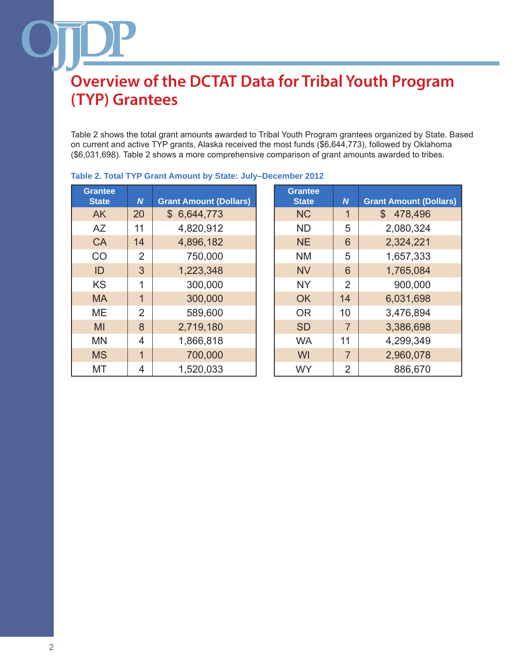Table 2 shows the total grant amounts awarded to Tribal Youth Program grantees organized by State. Based on current and active TYP grants, Alaska received the most funds (\$6,644,773), followed by Oklahoma (\$6,031,698). Table 2 shows a more comprehensive comparison of grant amounts awarded to tribes.

**N** Grant Amount (Dollars)

| <b>Grantee</b> |                  |                               | <b>Grantee</b> |                  |                        |
|----------------|------------------|-------------------------------|----------------|------------------|------------------------|
| <b>State</b>   | $\boldsymbol{N}$ | <b>Grant Amount (Dollars)</b> | <b>State</b>   | $\boldsymbol{N}$ | <b>Grant Amount (D</b> |
| <b>AK</b>      | 20               | \$6,644,773                   | <b>NC</b>      | 1                | 478,496<br>\$          |
| AZ             | 11               | 4,820,912                     | <b>ND</b>      | 5                | 2,080,324              |
| <b>CA</b>      | 14               | 4,896,182                     | <b>NE</b>      | 6                | 2,324,221              |
| CO             | $\overline{2}$   | 750,000                       | <b>NM</b>      | 5                | 1,657,333              |
| ID             | 3                | 1,223,348                     | <b>NV</b>      | 6                | 1,765,084              |
| <b>KS</b>      | 1                | 300,000                       | <b>NY</b>      | $\overline{2}$   | 900,000                |
| <b>MA</b>      | 1                | 300,000                       | <b>OK</b>      | 14               | 6,031,698              |
| ME             | $\overline{2}$   | 589,600                       | <b>OR</b>      | 10               | 3,476,894              |
| <b>MI</b>      | 8                | 2,719,180                     | <b>SD</b>      | $\overline{7}$   | 3,386,698              |
| <b>MN</b>      | $\overline{4}$   | 1,866,818                     | <b>WA</b>      | 11               | 4,299,349              |
| <b>MS</b>      | $\overline{1}$   | 700,000                       | WI             | $\overline{7}$   | 2,960,078              |
| МT             | 4                | 1,520,033                     | <b>WY</b>      | $\overline{2}$   | 886,670                |
|                |                  |                               |                |                  |                        |

## **Table 2. Total TYP Grant Amount by State: July–December 2012**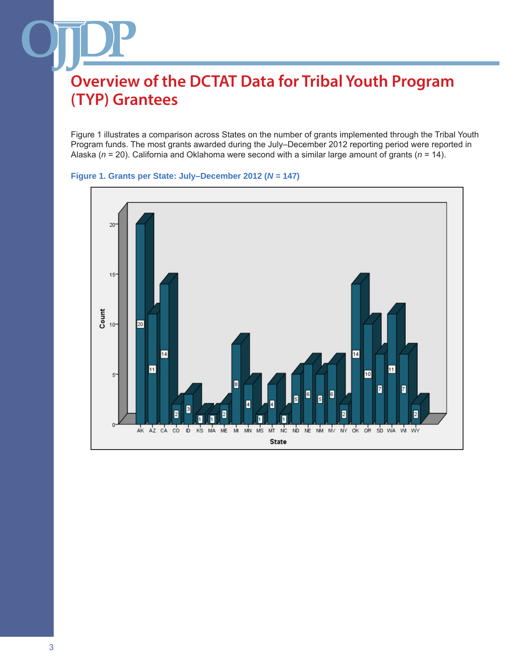Figure 1 illustrates a comparison across States on the number of grants implemented through the Tribal Youth Program funds. The most grants awarded during the July–December 2012 reporting period were reported in Alaska (*n* = 20). California and Oklahoma were second with a similar large amount of grants (*n* = 14).



## **Figure 1. Grants per State: July–December 2012 (***N* **= 147)**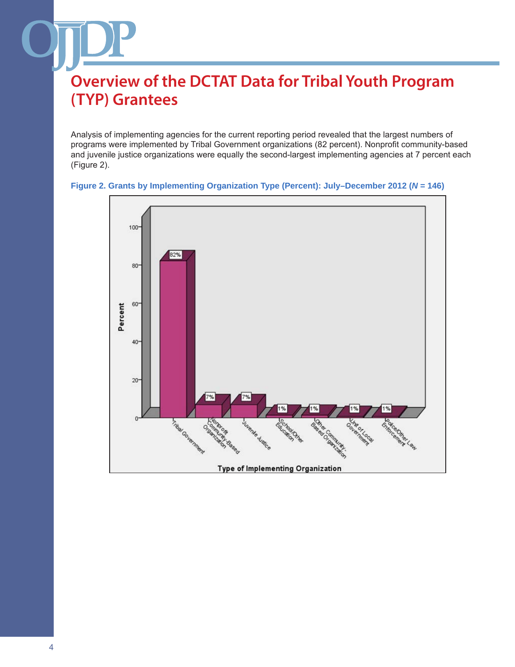Analysis of implementing agencies for the current reporting period revealed that the largest numbers of programs were implemented by Tribal Government organizations (82 percent). Nonprofit community-based and juvenile justice organizations were equally the second-largest implementing agencies at 7 percent each (Figure 2).



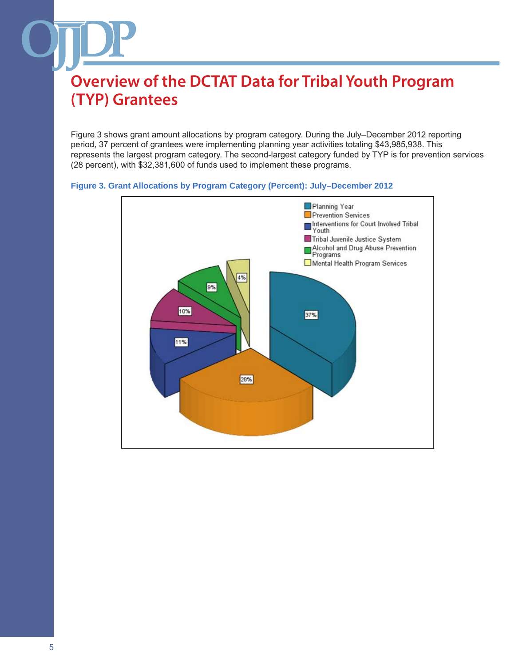Figure 3 shows grant amount allocations by program category. During the July–December 2012 reporting period, 37 percent of grantees were implementing planning year activities totaling \$43,985,938. This represents the largest program category. The second-largest category funded by TYP is for prevention services (28 percent), with \$32,381,600 of funds used to implement these programs.

### **Figure 3. Grant Allocations by Program Category (Percent): July–December 2012**

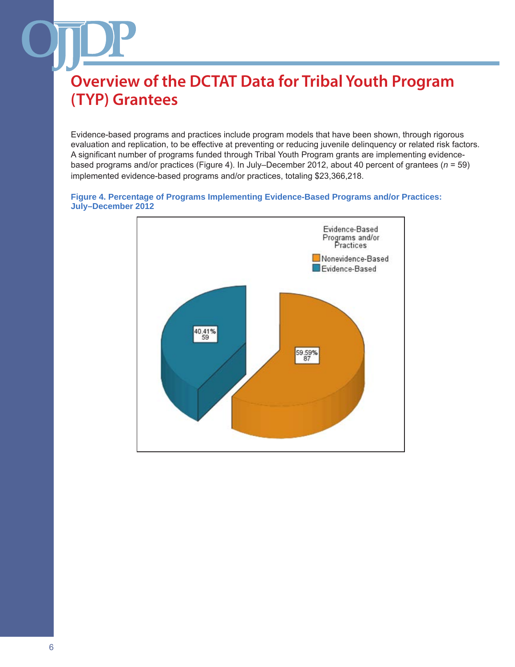Evidence-based programs and practices include program models that have been shown, through rigorous evaluation and replication, to be effective at preventing or reducing juvenile delinquency or related risk factors. A significant number of programs funded through Tribal Youth Program grants are implementing evidencebased programs and/or practices (Figure 4). In July–December 2012, about 40 percent of grantees (*n* = 59) implemented evidence-based programs and/or practices, totaling \$23,366,218.

### **Figure 4. Percentage of Programs Implementing Evidence-Based Programs and/or Practices: July–December 2012**

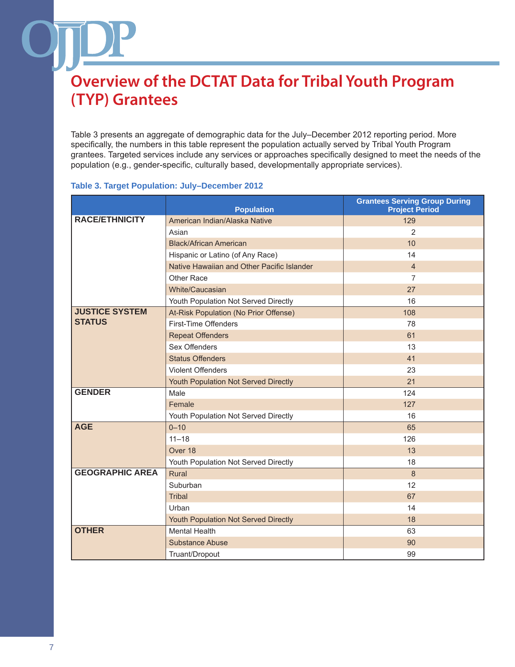Table 3 presents an aggregate of demographic data for the July–December 2012 reporting period. More specifically, the numbers in this table represent the population actually served by Tribal Youth Program grantees. Targeted services include any services or approaches specifically designed to meet the needs of the population (e.g., gender-specific, culturally based, developmentally appropriate services).

### **Table 3. Target Population: July–December 2012**

|                        | <b>Population</b>                          | <b>Grantees Serving Group During</b><br><b>Project Period</b> |
|------------------------|--------------------------------------------|---------------------------------------------------------------|
| <b>RACE/ETHNICITY</b>  | American Indian/Alaska Native              | 129                                                           |
|                        | Asian                                      | 2                                                             |
|                        | <b>Black/African American</b>              | 10                                                            |
|                        | Hispanic or Latino (of Any Race)           | 14                                                            |
|                        | Native Hawaiian and Other Pacific Islander | $\overline{4}$                                                |
|                        | Other Race                                 | $\overline{7}$                                                |
|                        | White/Caucasian                            | 27                                                            |
|                        | Youth Population Not Served Directly       | 16                                                            |
| <b>JUSTICE SYSTEM</b>  | At-Risk Population (No Prior Offense)      | 108                                                           |
| <b>STATUS</b>          | First-Time Offenders                       | 78                                                            |
|                        | <b>Repeat Offenders</b>                    | 61                                                            |
|                        | Sex Offenders                              | 13                                                            |
|                        | <b>Status Offenders</b>                    | 41                                                            |
|                        | <b>Violent Offenders</b>                   | 23                                                            |
|                        | Youth Population Not Served Directly       | 21                                                            |
| <b>GENDER</b>          | Male                                       | 124                                                           |
|                        | Female                                     | 127                                                           |
|                        | Youth Population Not Served Directly       | 16                                                            |
| <b>AGE</b>             | $0 - 10$                                   | 65                                                            |
|                        | $11 - 18$                                  | 126                                                           |
|                        | Over 18                                    | 13                                                            |
|                        | Youth Population Not Served Directly       | 18                                                            |
| <b>GEOGRAPHIC AREA</b> | Rural                                      | $\boldsymbol{8}$                                              |
|                        | Suburban                                   | 12                                                            |
|                        | <b>Tribal</b>                              | 67                                                            |
|                        | Urban                                      | 14                                                            |
|                        | Youth Population Not Served Directly       | 18                                                            |
| <b>OTHER</b>           | <b>Mental Health</b>                       | 63                                                            |
|                        | <b>Substance Abuse</b>                     | 90                                                            |
|                        | Truant/Dropout                             | 99                                                            |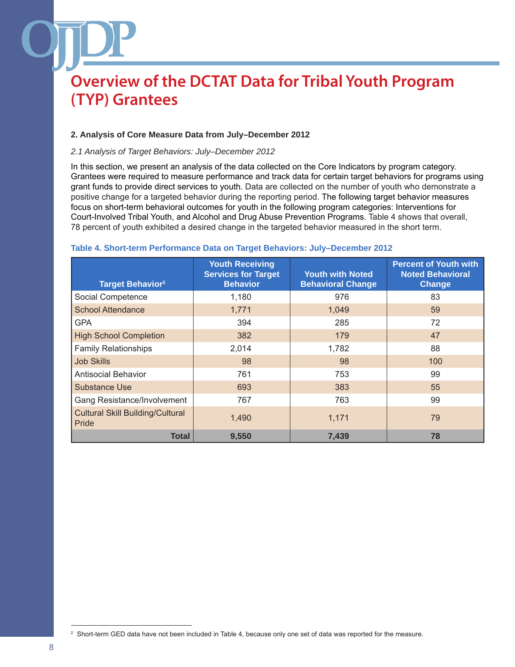## **2. Analysis of Core Measure Data from July–December 2012**

### *2.1 Analysis of Target Behaviors: July–December 2012*

In this section, we present an analysis of the data collected on the Core Indicators by program category. Grantees were required to measure performance and track data for certain target behaviors for programs using grant funds to provide direct services to youth. Data are collected on the number of youth who demonstrate a positive change for a targeted behavior during the reporting period. The following target behavior measures focus on short-term behavioral outcomes for youth in the following program categories: Interventions for Court-Involved Tribal Youth, and Alcohol and Drug Abuse Prevention Programs. Table 4 shows that overall, 78 percent of youth exhibited a desired change in the targeted behavior measured in the short term.

| <b>Target Behavior</b> <sup>2</sup>              | <b>Youth Receiving</b><br><b>Services for Target</b><br><b>Behavior</b> | <b>Youth with Noted</b><br><b>Behavioral Change</b> | <b>Percent of Youth with</b><br><b>Noted Behavioral</b><br>Change |
|--------------------------------------------------|-------------------------------------------------------------------------|-----------------------------------------------------|-------------------------------------------------------------------|
| Social Competence                                | 1,180                                                                   | 976                                                 | 83                                                                |
| <b>School Attendance</b>                         | 1,771                                                                   | 1,049                                               | 59                                                                |
| <b>GPA</b>                                       | 394                                                                     | 285                                                 | 72                                                                |
| <b>High School Completion</b>                    | 382                                                                     | 179                                                 | 47                                                                |
| <b>Family Relationships</b>                      | 2,014                                                                   | 1,782                                               | 88                                                                |
| <b>Job Skills</b>                                | 98                                                                      | 98                                                  | 100                                                               |
| <b>Antisocial Behavior</b>                       | 761                                                                     | 753                                                 | 99                                                                |
| Substance Use                                    | 693                                                                     | 383                                                 | 55                                                                |
| Gang Resistance/Involvement                      | 767                                                                     | 763                                                 | 99                                                                |
| <b>Cultural Skill Building/Cultural</b><br>Pride | 1,490                                                                   | 1,171                                               | 79                                                                |
| <b>Total</b>                                     | 9,550                                                                   | 7,439                                               | 78                                                                |

#### **Table 4. Short-term Performance Data on Target Behaviors: July–December 2012**

<sup>&</sup>lt;sup>2</sup> Short-term GED data have not been included in Table 4, because only one set of data was reported for the measure.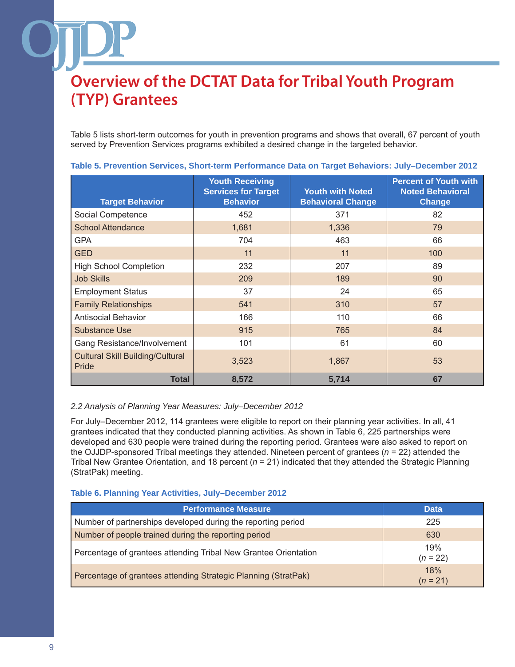Table 5 lists short-term outcomes for youth in prevention programs and shows that overall, 67 percent of youth served by Prevention Services programs exhibited a desired change in the targeted behavior.

| <b>Target Behavior</b>                           | <b>Youth Receiving</b><br><b>Services for Target</b><br><b>Behavior</b> | <b>Youth with Noted</b><br><b>Behavioral Change</b> | <b>Percent of Youth with</b><br><b>Noted Behavioral</b><br><b>Change</b> |
|--------------------------------------------------|-------------------------------------------------------------------------|-----------------------------------------------------|--------------------------------------------------------------------------|
| Social Competence                                | 452                                                                     | 371                                                 | 82                                                                       |
| <b>School Attendance</b>                         | 1,681                                                                   | 1,336                                               | 79                                                                       |
| <b>GPA</b>                                       | 704                                                                     | 463                                                 | 66                                                                       |
| <b>GED</b>                                       | 11                                                                      | 11                                                  | 100                                                                      |
| <b>High School Completion</b>                    | 232                                                                     | 207                                                 | 89                                                                       |
| <b>Job Skills</b>                                | 209                                                                     | 189                                                 | 90                                                                       |
| <b>Employment Status</b>                         | 37                                                                      | 24                                                  | 65                                                                       |
| <b>Family Relationships</b>                      | 541                                                                     | 310                                                 | 57                                                                       |
| <b>Antisocial Behavior</b>                       | 166                                                                     | 110                                                 | 66                                                                       |
| <b>Substance Use</b>                             | 915                                                                     | 765                                                 | 84                                                                       |
| Gang Resistance/Involvement                      | 101                                                                     | 61                                                  | 60                                                                       |
| <b>Cultural Skill Building/Cultural</b><br>Pride | 3,523                                                                   | 1,867                                               | 53                                                                       |
| <b>Total</b>                                     | 8,572                                                                   | 5,714                                               | 67                                                                       |

### **Table 5. Prevention Services, Short-term Performance Data on Target Behaviors: July–December 2012**

### *2.2 Analysis of Planning Year Measures: July–December 2012*

For July–December 2012, 114 grantees were eligible to report on their planning year activities. In all, 41 grantees indicated that they conducted planning activities. As shown in Table 6, 225 partnerships were developed and 630 people were trained during the reporting period. Grantees were also asked to report on the OJJDP-sponsored Tribal meetings they attended. Nineteen percent of grantees (*n* = 22) attended the Tribal New Grantee Orientation, and 18 percent (*n* = 21) indicated that they attended the Strategic Planning (StratPak) meeting.

### **Table 6. Planning Year Activities, July–December 2012**

| <b>Performance Measure</b>                                      | <b>Data</b>       |
|-----------------------------------------------------------------|-------------------|
| Number of partnerships developed during the reporting period    | 225               |
| Number of people trained during the reporting period            | 630               |
| Percentage of grantees attending Tribal New Grantee Orientation | 19%<br>$(n = 22)$ |
| Percentage of grantees attending Strategic Planning (StratPak)  | 18%<br>$(n = 21)$ |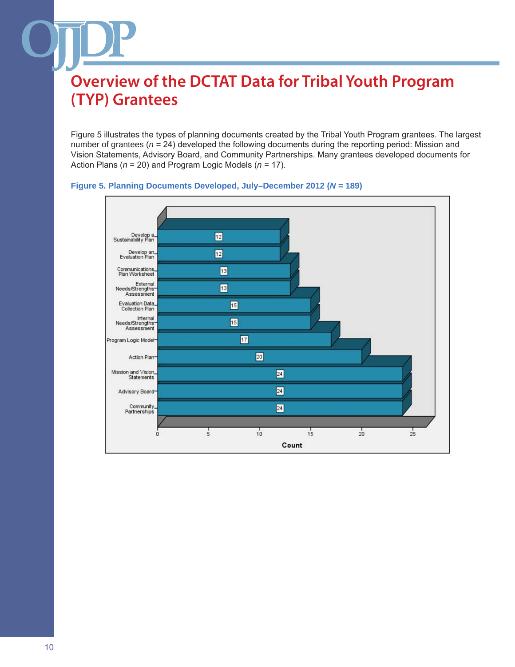Figure 5 illustrates the types of planning documents created by the Tribal Youth Program grantees. The largest number of grantees (*n =* 24) developed the following documents during the reporting period: Mission and Vision Statements, Advisory Board, and Community Partnerships. Many grantees developed documents for Action Plans (*n* = 20) and Program Logic Models (*n* = 17).



### **Figure 5. Planning Documents Developed, July–December 2012 (***N* **= 189)**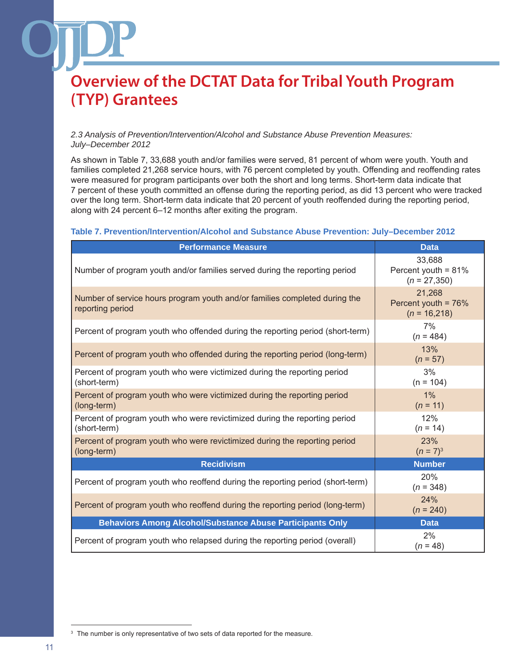### *2.3 Analysis of Prevention/Intervention/Alcohol and Substance Abuse Prevention Measures: July–December 2012*

As shown in Table 7, 33,688 youth and/or families were served, 81 percent of whom were youth. Youth and families completed 21,268 service hours, with 76 percent completed by youth. Offending and reoffending rates were measured for program participants over both the short and long terms. Short-term data indicate that 7 percent of these youth committed an offense during the reporting period, as did 13 percent who were tracked over the long term. Short-term data indicate that 20 percent of youth reoffended during the reporting period, along with 24 percent 6–12 months after exiting the program.

## **Table 7. Prevention/Intervention/Alcohol and Substance Abuse Prevention: July–December 2012**

| <b>Performance Measure</b>                                                                     | <b>Data</b>                                     |
|------------------------------------------------------------------------------------------------|-------------------------------------------------|
| Number of program youth and/or families served during the reporting period                     | 33,688<br>Percent youth = 81%<br>$(n = 27,350)$ |
| Number of service hours program youth and/or families completed during the<br>reporting period | 21,268<br>Percent youth = 76%<br>$(n = 16,218)$ |
| Percent of program youth who offended during the reporting period (short-term)                 | 7%<br>$(n = 484)$                               |
| Percent of program youth who offended during the reporting period (long-term)                  | 13%<br>$(n = 57)$                               |
| Percent of program youth who were victimized during the reporting period<br>(short-term)       | 3%<br>$(n = 104)$                               |
| Percent of program youth who were victimized during the reporting period<br>(long-term)        | 1%<br>$(n = 11)$                                |
| Percent of program youth who were revictimized during the reporting period<br>(short-term)     | 12%<br>$(n = 14)$                               |
| Percent of program youth who were revictimized during the reporting period<br>(long-term)      | 23%<br>$(n=7)^3$                                |
| <b>Recidivism</b>                                                                              | <b>Number</b>                                   |
| Percent of program youth who reoffend during the reporting period (short-term)                 | 20%<br>$(n = 348)$                              |
| Percent of program youth who reoffend during the reporting period (long-term)                  | 24%<br>$(n = 240)$                              |
| <b>Behaviors Among Alcohol/Substance Abuse Participants Only</b>                               | <b>Data</b>                                     |
| Percent of program youth who relapsed during the reporting period (overall)                    | 2%<br>$(n = 48)$                                |

<sup>&</sup>lt;sup>3</sup> The number is only representative of two sets of data reported for the measure.